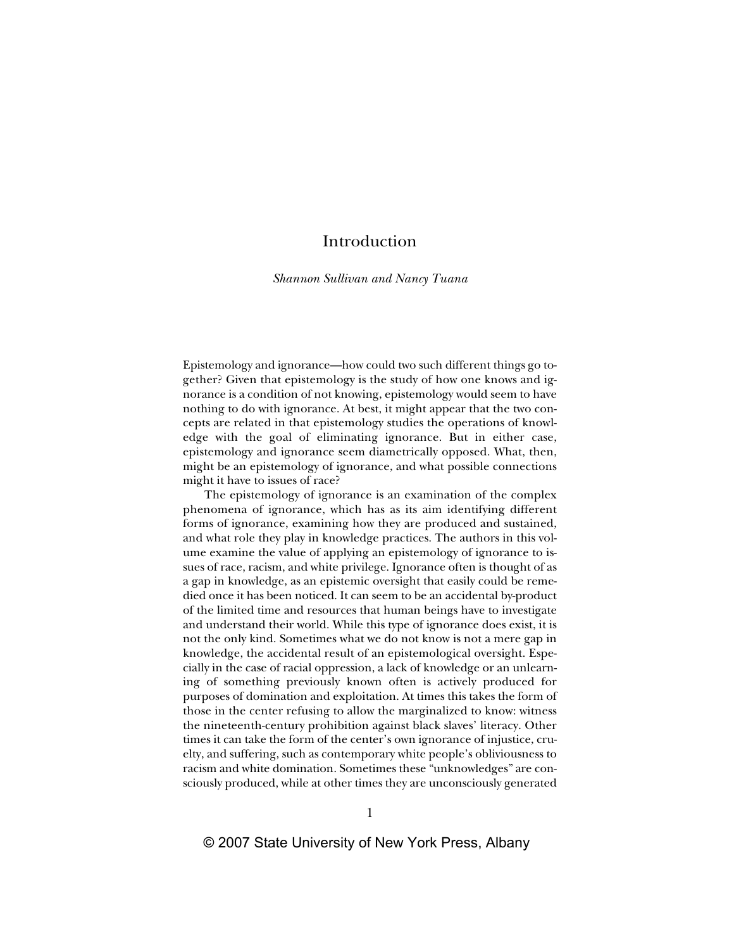### *Shannon Sullivan and Nancy Tuana*

Epistemology and ignorance—how could two such different things go together? Given that epistemology is the study of how one knows and ignorance is a condition of not knowing, epistemology would seem to have nothing to do with ignorance. At best, it might appear that the two concepts are related in that epistemology studies the operations of knowledge with the goal of eliminating ignorance. But in either case, epistemology and ignorance seem diametrically opposed. What, then, might be an epistemology of ignorance, and what possible connections might it have to issues of race?

The epistemology of ignorance is an examination of the complex phenomena of ignorance, which has as its aim identifying different forms of ignorance, examining how they are produced and sustained, and what role they play in knowledge practices. The authors in this volume examine the value of applying an epistemology of ignorance to issues of race, racism, and white privilege. Ignorance often is thought of as a gap in knowledge, as an epistemic oversight that easily could be remedied once it has been noticed. It can seem to be an accidental by-product of the limited time and resources that human beings have to investigate and understand their world. While this type of ignorance does exist, it is not the only kind. Sometimes what we do not know is not a mere gap in knowledge, the accidental result of an epistemological oversight. Especially in the case of racial oppression, a lack of knowledge or an unlearning of something previously known often is actively produced for purposes of domination and exploitation. At times this takes the form of those in the center refusing to allow the marginalized to know: witness the nineteenth-century prohibition against black slaves' literacy. Other times it can take the form of the center's own ignorance of injustice, cruelty, and suffering, such as contemporary white people's obliviousness to racism and white domination. Sometimes these "unknowledges" are consciously produced, while at other times they are unconsciously generated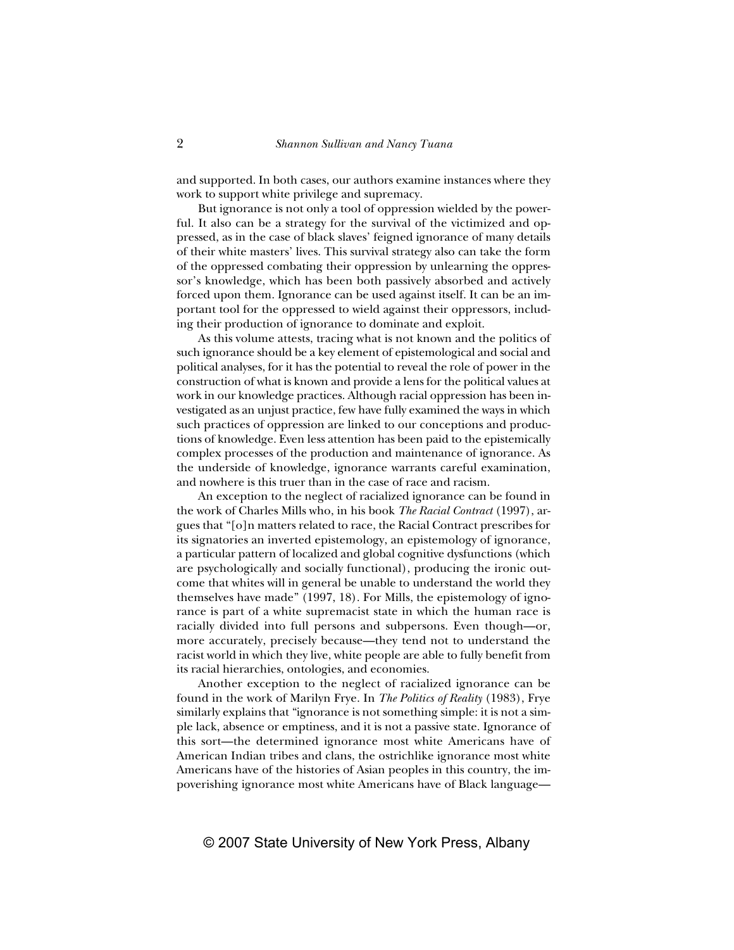and supported. In both cases, our authors examine instances where they work to support white privilege and supremacy.

But ignorance is not only a tool of oppression wielded by the powerful. It also can be a strategy for the survival of the victimized and oppressed, as in the case of black slaves' feigned ignorance of many details of their white masters' lives. This survival strategy also can take the form of the oppressed combating their oppression by unlearning the oppressor's knowledge, which has been both passively absorbed and actively forced upon them. Ignorance can be used against itself. It can be an important tool for the oppressed to wield against their oppressors, including their production of ignorance to dominate and exploit.

As this volume attests, tracing what is not known and the politics of such ignorance should be a key element of epistemological and social and political analyses, for it has the potential to reveal the role of power in the construction of what is known and provide a lens for the political values at work in our knowledge practices. Although racial oppression has been investigated as an unjust practice, few have fully examined the ways in which such practices of oppression are linked to our conceptions and productions of knowledge. Even less attention has been paid to the epistemically complex processes of the production and maintenance of ignorance. As the underside of knowledge, ignorance warrants careful examination, and nowhere is this truer than in the case of race and racism.

An exception to the neglect of racialized ignorance can be found in the work of Charles Mills who, in his book *The Racial Contract* (1997), argues that "[o]n matters related to race, the Racial Contract prescribes for its signatories an inverted epistemology, an epistemology of ignorance, a particular pattern of localized and global cognitive dysfunctions (which are psychologically and socially functional), producing the ironic outcome that whites will in general be unable to understand the world they themselves have made" (1997, 18). For Mills, the epistemology of ignorance is part of a white supremacist state in which the human race is racially divided into full persons and subpersons. Even though—or, more accurately, precisely because—they tend not to understand the racist world in which they live, white people are able to fully benefit from its racial hierarchies, ontologies, and economies.

Another exception to the neglect of racialized ignorance can be found in the work of Marilyn Frye. In *The Politics of Reality* (1983), Frye similarly explains that "ignorance is not something simple: it is not a simple lack, absence or emptiness, and it is not a passive state. Ignorance of this sort—the determined ignorance most white Americans have of American Indian tribes and clans, the ostrichlike ignorance most white Americans have of the histories of Asian peoples in this country, the impoverishing ignorance most white Americans have of Black language—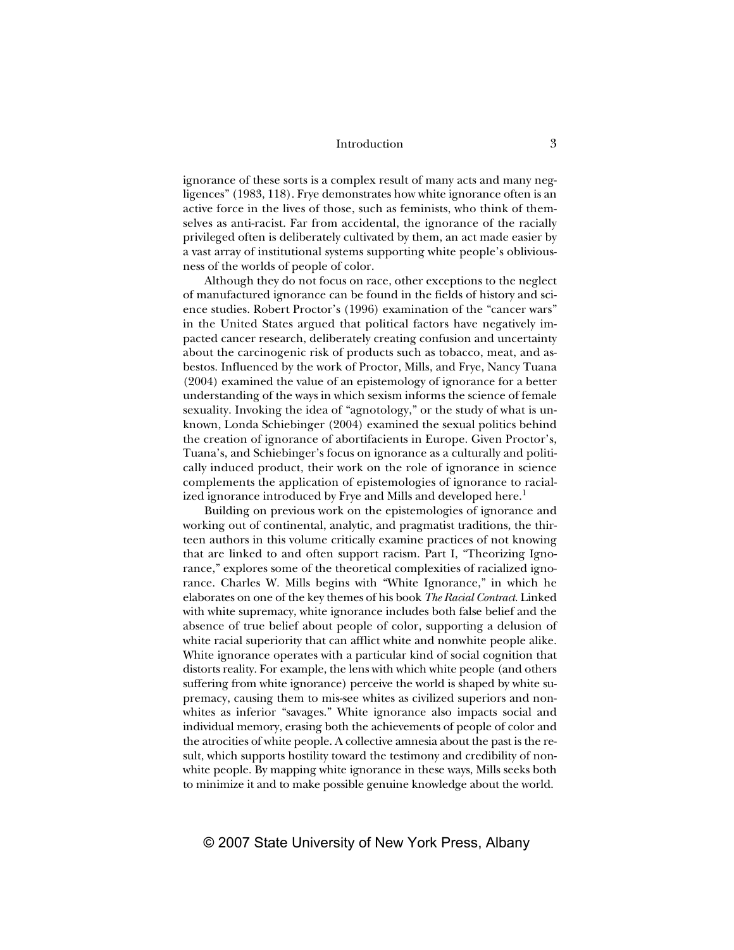ignorance of these sorts is a complex result of many acts and many negligences" (1983, 118). Frye demonstrates how white ignorance often is an active force in the lives of those, such as feminists, who think of themselves as anti-racist. Far from accidental, the ignorance of the racially privileged often is deliberately cultivated by them, an act made easier by a vast array of institutional systems supporting white people's obliviousness of the worlds of people of color.

Although they do not focus on race, other exceptions to the neglect of manufactured ignorance can be found in the fields of history and science studies. Robert Proctor's (1996) examination of the "cancer wars" in the United States argued that political factors have negatively impacted cancer research, deliberately creating confusion and uncertainty about the carcinogenic risk of products such as tobacco, meat, and asbestos. Influenced by the work of Proctor, Mills, and Frye, Nancy Tuana (2004) examined the value of an epistemology of ignorance for a better understanding of the ways in which sexism informs the science of female sexuality. Invoking the idea of "agnotology," or the study of what is unknown, Londa Schiebinger (2004) examined the sexual politics behind the creation of ignorance of abortifacients in Europe. Given Proctor's, Tuana's, and Schiebinger's focus on ignorance as a culturally and politically induced product, their work on the role of ignorance in science complements the application of epistemologies of ignorance to racialized ignorance introduced by Frye and Mills and developed here.<sup>1</sup>

Building on previous work on the epistemologies of ignorance and working out of continental, analytic, and pragmatist traditions, the thirteen authors in this volume critically examine practices of not knowing that are linked to and often support racism. Part I, "Theorizing Ignorance," explores some of the theoretical complexities of racialized ignorance. Charles W. Mills begins with "White Ignorance," in which he elaborates on one of the key themes of his book *The Racial Contract*. Linked with white supremacy, white ignorance includes both false belief and the absence of true belief about people of color, supporting a delusion of white racial superiority that can afflict white and nonwhite people alike. White ignorance operates with a particular kind of social cognition that distorts reality. For example, the lens with which white people (and others suffering from white ignorance) perceive the world is shaped by white supremacy, causing them to mis-see whites as civilized superiors and nonwhites as inferior "savages." White ignorance also impacts social and individual memory, erasing both the achievements of people of color and the atrocities of white people. A collective amnesia about the past is the result, which supports hostility toward the testimony and credibility of nonwhite people. By mapping white ignorance in these ways, Mills seeks both to minimize it and to make possible genuine knowledge about the world.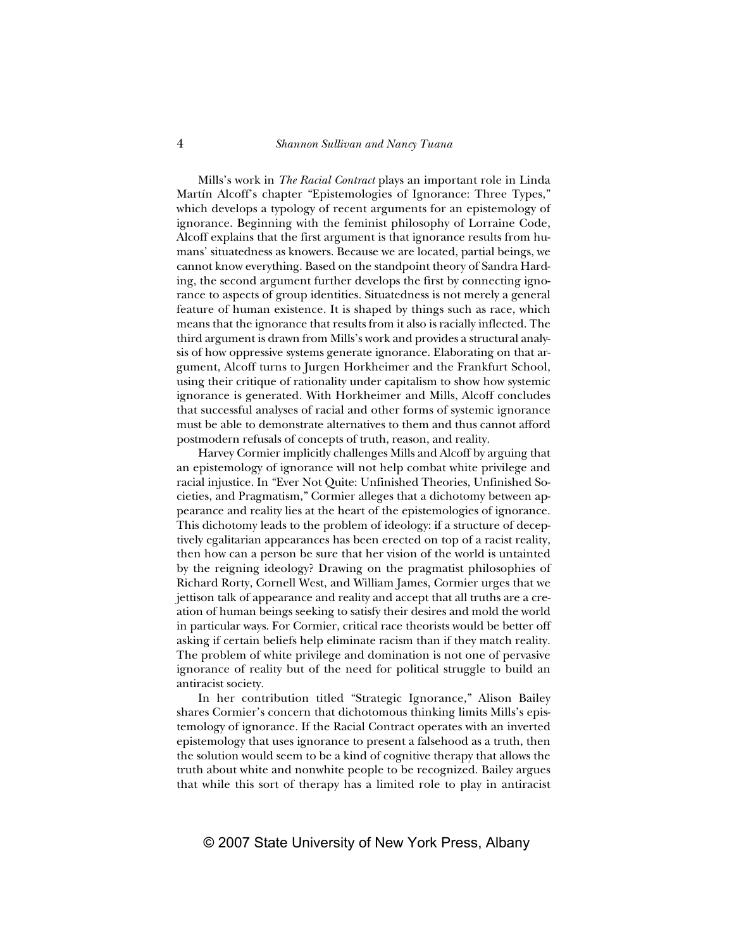Mills's work in *The Racial Contract* plays an important role in Linda Martín Alcoff's chapter "Epistemologies of Ignorance: Three Types," which develops a typology of recent arguments for an epistemology of ignorance. Beginning with the feminist philosophy of Lorraine Code, Alcoff explains that the first argument is that ignorance results from humans' situatedness as knowers. Because we are located, partial beings, we cannot know everything. Based on the standpoint theory of Sandra Harding, the second argument further develops the first by connecting ignorance to aspects of group identities. Situatedness is not merely a general feature of human existence. It is shaped by things such as race, which means that the ignorance that results from it also is racially inflected. The third argument is drawn from Mills's work and provides a structural analysis of how oppressive systems generate ignorance. Elaborating on that argument, Alcoff turns to Jurgen Horkheimer and the Frankfurt School, using their critique of rationality under capitalism to show how systemic ignorance is generated. With Horkheimer and Mills, Alcoff concludes that successful analyses of racial and other forms of systemic ignorance must be able to demonstrate alternatives to them and thus cannot afford postmodern refusals of concepts of truth, reason, and reality.

Harvey Cormier implicitly challenges Mills and Alcoff by arguing that an epistemology of ignorance will not help combat white privilege and racial injustice. In "Ever Not Quite: Unfinished Theories, Unfinished Societies, and Pragmatism," Cormier alleges that a dichotomy between appearance and reality lies at the heart of the epistemologies of ignorance. This dichotomy leads to the problem of ideology: if a structure of deceptively egalitarian appearances has been erected on top of a racist reality, then how can a person be sure that her vision of the world is untainted by the reigning ideology? Drawing on the pragmatist philosophies of Richard Rorty, Cornell West, and William James, Cormier urges that we jettison talk of appearance and reality and accept that all truths are a creation of human beings seeking to satisfy their desires and mold the world in particular ways. For Cormier, critical race theorists would be better off asking if certain beliefs help eliminate racism than if they match reality. The problem of white privilege and domination is not one of pervasive ignorance of reality but of the need for political struggle to build an antiracist society.

In her contribution titled "Strategic Ignorance," Alison Bailey shares Cormier's concern that dichotomous thinking limits Mills's epistemology of ignorance. If the Racial Contract operates with an inverted epistemology that uses ignorance to present a falsehood as a truth, then the solution would seem to be a kind of cognitive therapy that allows the truth about white and nonwhite people to be recognized. Bailey argues that while this sort of therapy has a limited role to play in antiracist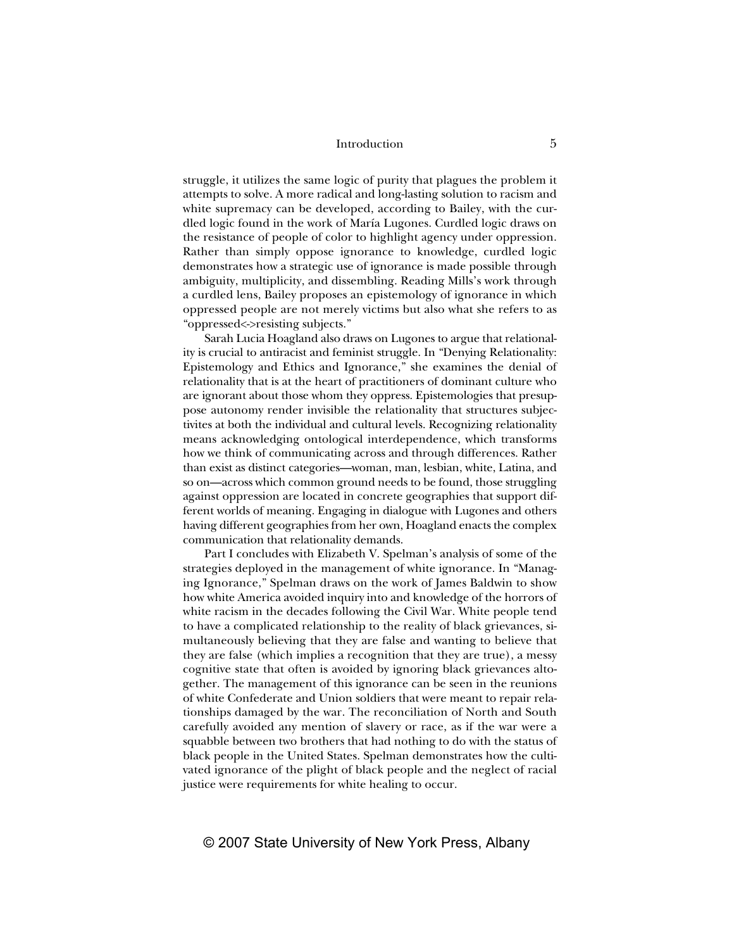struggle, it utilizes the same logic of purity that plagues the problem it attempts to solve. A more radical and long-lasting solution to racism and white supremacy can be developed, according to Bailey, with the curdled logic found in the work of María Lugones. Curdled logic draws on the resistance of people of color to highlight agency under oppression. Rather than simply oppose ignorance to knowledge, curdled logic demonstrates how a strategic use of ignorance is made possible through ambiguity, multiplicity, and dissembling. Reading Mills's work through a curdled lens, Bailey proposes an epistemology of ignorance in which oppressed people are not merely victims but also what she refers to as "oppressed<->resisting subjects."

Sarah Lucia Hoagland also draws on Lugones to argue that relationality is crucial to antiracist and feminist struggle. In "Denying Relationality: Epistemology and Ethics and Ignorance," she examines the denial of relationality that is at the heart of practitioners of dominant culture who are ignorant about those whom they oppress. Epistemologies that presuppose autonomy render invisible the relationality that structures subjectivites at both the individual and cultural levels. Recognizing relationality means acknowledging ontological interdependence, which transforms how we think of communicating across and through differences. Rather than exist as distinct categories—woman, man, lesbian, white, Latina, and so on—across which common ground needs to be found, those struggling against oppression are located in concrete geographies that support different worlds of meaning. Engaging in dialogue with Lugones and others having different geographies from her own, Hoagland enacts the complex communication that relationality demands.

Part I concludes with Elizabeth V. Spelman's analysis of some of the strategies deployed in the management of white ignorance. In "Managing Ignorance," Spelman draws on the work of James Baldwin to show how white America avoided inquiry into and knowledge of the horrors of white racism in the decades following the Civil War. White people tend to have a complicated relationship to the reality of black grievances, simultaneously believing that they are false and wanting to believe that they are false (which implies a recognition that they are true), a messy cognitive state that often is avoided by ignoring black grievances altogether. The management of this ignorance can be seen in the reunions of white Confederate and Union soldiers that were meant to repair relationships damaged by the war. The reconciliation of North and South carefully avoided any mention of slavery or race, as if the war were a squabble between two brothers that had nothing to do with the status of black people in the United States. Spelman demonstrates how the cultivated ignorance of the plight of black people and the neglect of racial justice were requirements for white healing to occur.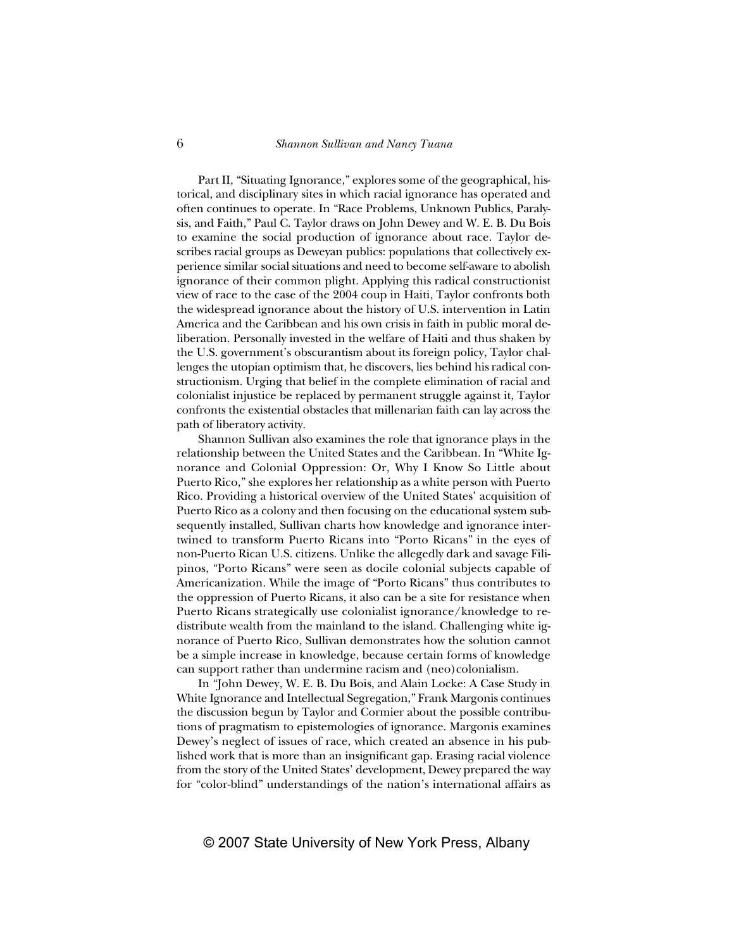Part II, "Situating Ignorance," explores some of the geographical, historical, and disciplinary sites in which racial ignorance has operated and often continues to operate. In "Race Problems, Unknown Publics, Paralysis, and Faith," Paul C. Taylor draws on John Dewey and W. E. B. Du Bois to examine the social production of ignorance about race. Taylor describes racial groups as Deweyan publics: populations that collectively experience similar social situations and need to become self-aware to abolish ignorance of their common plight. Applying this radical constructionist view of race to the case of the 2004 coup in Haiti, Taylor confronts both the widespread ignorance about the history of U.S. intervention in Latin America and the Caribbean and his own crisis in faith in public moral deliberation. Personally invested in the welfare of Haiti and thus shaken by the U.S. government's obscurantism about its foreign policy, Taylor challenges the utopian optimism that, he discovers, lies behind his radical constructionism. Urging that belief in the complete elimination of racial and colonialist injustice be replaced by permanent struggle against it, Taylor confronts the existential obstacles that millenarian faith can lay across the path of liberatory activity.

Shannon Sullivan also examines the role that ignorance plays in the relationship between the United States and the Caribbean. In "White Ignorance and Colonial Oppression: Or, Why I Know So Little about Puerto Rico," she explores her relationship as a white person with Puerto Rico. Providing a historical overview of the United States' acquisition of Puerto Rico as a colony and then focusing on the educational system subsequently installed, Sullivan charts how knowledge and ignorance intertwined to transform Puerto Ricans into "Porto Ricans" in the eyes of non-Puerto Rican U.S. citizens. Unlike the allegedly dark and savage Filipinos, "Porto Ricans" were seen as docile colonial subjects capable of Americanization. While the image of "Porto Ricans" thus contributes to the oppression of Puerto Ricans, it also can be a site for resistance when Puerto Ricans strategically use colonialist ignorance/knowledge to redistribute wealth from the mainland to the island. Challenging white ignorance of Puerto Rico, Sullivan demonstrates how the solution cannot be a simple increase in knowledge, because certain forms of knowledge can support rather than undermine racism and (neo)colonialism.

In "John Dewey, W. E. B. Du Bois, and Alain Locke: A Case Study in White Ignorance and Intellectual Segregation," Frank Margonis continues the discussion begun by Taylor and Cormier about the possible contributions of pragmatism to epistemologies of ignorance. Margonis examines Dewey's neglect of issues of race, which created an absence in his published work that is more than an insignificant gap. Erasing racial violence from the story of the United States' development, Dewey prepared the way for "color-blind" understandings of the nation's international affairs as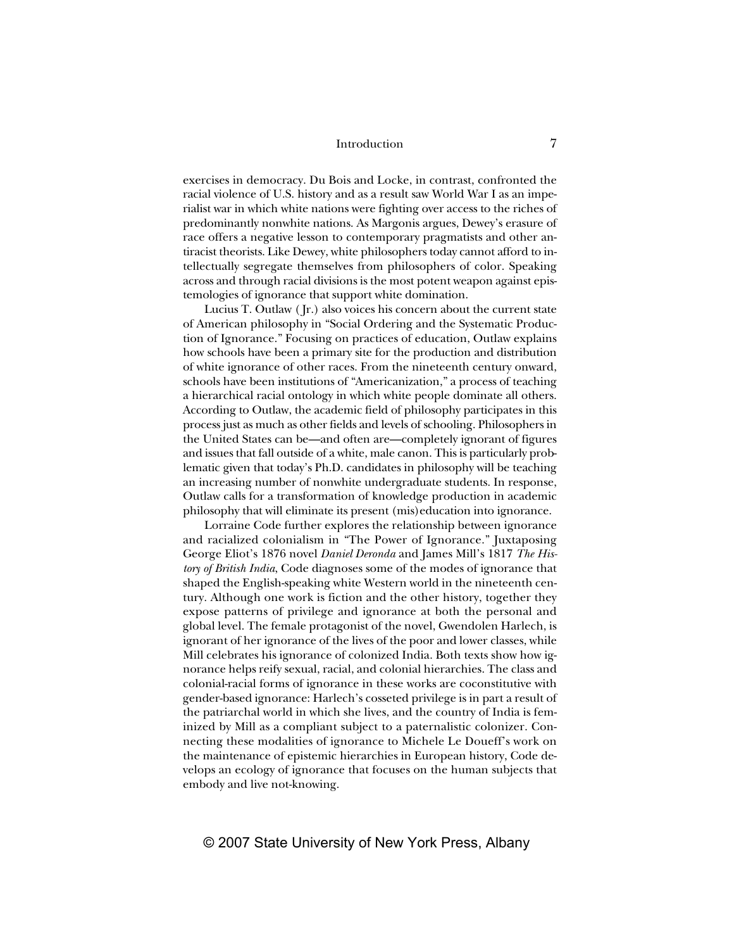exercises in democracy. Du Bois and Locke, in contrast, confronted the racial violence of U.S. history and as a result saw World War I as an imperialist war in which white nations were fighting over access to the riches of predominantly nonwhite nations. As Margonis argues, Dewey's erasure of race offers a negative lesson to contemporary pragmatists and other antiracist theorists. Like Dewey, white philosophers today cannot afford to intellectually segregate themselves from philosophers of color. Speaking across and through racial divisions is the most potent weapon against epistemologies of ignorance that support white domination.

Lucius T. Outlaw ( Jr.) also voices his concern about the current state of American philosophy in "Social Ordering and the Systematic Production of Ignorance." Focusing on practices of education, Outlaw explains how schools have been a primary site for the production and distribution of white ignorance of other races. From the nineteenth century onward, schools have been institutions of "Americanization," a process of teaching a hierarchical racial ontology in which white people dominate all others. According to Outlaw, the academic field of philosophy participates in this process just as much as other fields and levels of schooling. Philosophers in the United States can be—and often are—completely ignorant of figures and issues that fall outside of a white, male canon. This is particularly problematic given that today's Ph.D. candidates in philosophy will be teaching an increasing number of nonwhite undergraduate students. In response, Outlaw calls for a transformation of knowledge production in academic philosophy that will eliminate its present (mis)education into ignorance.

Lorraine Code further explores the relationship between ignorance and racialized colonialism in "The Power of Ignorance." Juxtaposing George Eliot's 1876 novel *Daniel Deronda* and James Mill's 1817 *The History of British India*, Code diagnoses some of the modes of ignorance that shaped the English-speaking white Western world in the nineteenth century. Although one work is fiction and the other history, together they expose patterns of privilege and ignorance at both the personal and global level. The female protagonist of the novel, Gwendolen Harlech, is ignorant of her ignorance of the lives of the poor and lower classes, while Mill celebrates his ignorance of colonized India. Both texts show how ignorance helps reify sexual, racial, and colonial hierarchies. The class and colonial-racial forms of ignorance in these works are coconstitutive with gender-based ignorance: Harlech's cosseted privilege is in part a result of the patriarchal world in which she lives, and the country of India is feminized by Mill as a compliant subject to a paternalistic colonizer. Connecting these modalities of ignorance to Michele Le Doueff's work on the maintenance of epistemic hierarchies in European history, Code develops an ecology of ignorance that focuses on the human subjects that embody and live not-knowing.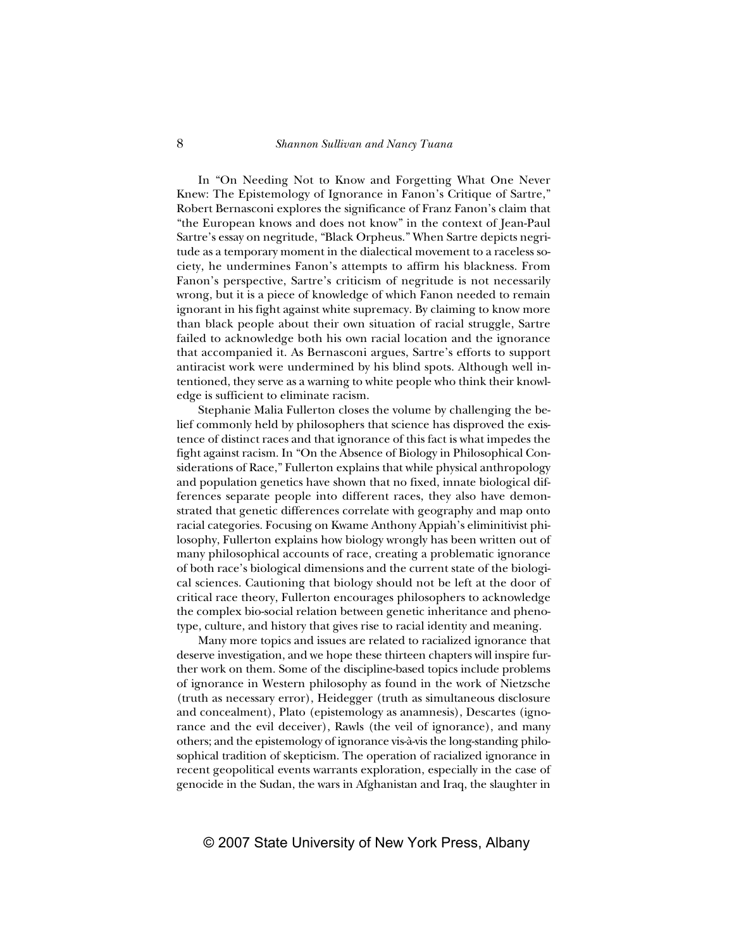In "On Needing Not to Know and Forgetting What One Never Knew: The Epistemology of Ignorance in Fanon's Critique of Sartre," Robert Bernasconi explores the significance of Franz Fanon's claim that "the European knows and does not know" in the context of Jean-Paul Sartre's essay on negritude, "Black Orpheus." When Sartre depicts negritude as a temporary moment in the dialectical movement to a raceless society, he undermines Fanon's attempts to affirm his blackness. From Fanon's perspective, Sartre's criticism of negritude is not necessarily wrong, but it is a piece of knowledge of which Fanon needed to remain ignorant in his fight against white supremacy. By claiming to know more than black people about their own situation of racial struggle, Sartre failed to acknowledge both his own racial location and the ignorance that accompanied it. As Bernasconi argues, Sartre's efforts to support antiracist work were undermined by his blind spots. Although well intentioned, they serve as a warning to white people who think their knowledge is sufficient to eliminate racism.

Stephanie Malia Fullerton closes the volume by challenging the belief commonly held by philosophers that science has disproved the existence of distinct races and that ignorance of this fact is what impedes the fight against racism. In "On the Absence of Biology in Philosophical Considerations of Race," Fullerton explains that while physical anthropology and population genetics have shown that no fixed, innate biological differences separate people into different races, they also have demonstrated that genetic differences correlate with geography and map onto racial categories. Focusing on Kwame Anthony Appiah's eliminitivist philosophy, Fullerton explains how biology wrongly has been written out of many philosophical accounts of race, creating a problematic ignorance of both race's biological dimensions and the current state of the biological sciences. Cautioning that biology should not be left at the door of critical race theory, Fullerton encourages philosophers to acknowledge the complex bio-social relation between genetic inheritance and phenotype, culture, and history that gives rise to racial identity and meaning.

Many more topics and issues are related to racialized ignorance that deserve investigation, and we hope these thirteen chapters will inspire further work on them. Some of the discipline-based topics include problems of ignorance in Western philosophy as found in the work of Nietzsche (truth as necessary error), Heidegger (truth as simultaneous disclosure and concealment), Plato (epistemology as anamnesis), Descartes (ignorance and the evil deceiver), Rawls (the veil of ignorance), and many others; and the epistemology of ignorance vis-à-vis the long-standing philosophical tradition of skepticism. The operation of racialized ignorance in recent geopolitical events warrants exploration, especially in the case of genocide in the Sudan, the wars in Afghanistan and Iraq, the slaughter in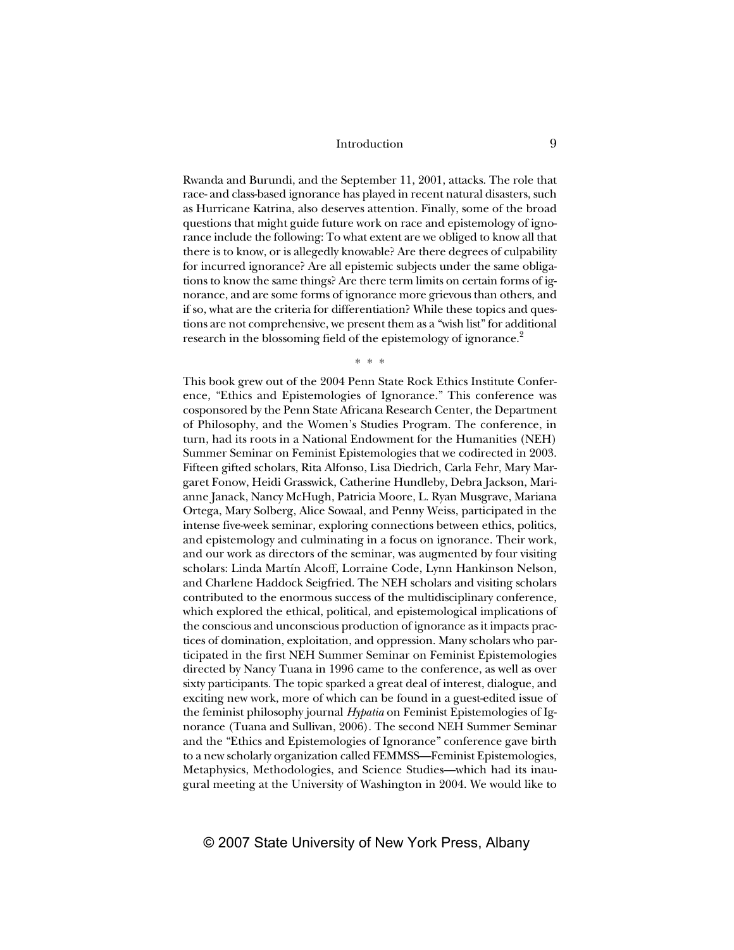Rwanda and Burundi, and the September 11, 2001, attacks. The role that race- and class-based ignorance has played in recent natural disasters, such as Hurricane Katrina, also deserves attention. Finally, some of the broad questions that might guide future work on race and epistemology of ignorance include the following: To what extent are we obliged to know all that there is to know, or is allegedly knowable? Are there degrees of culpability for incurred ignorance? Are all epistemic subjects under the same obligations to know the same things? Are there term limits on certain forms of ignorance, and are some forms of ignorance more grievous than others, and if so, what are the criteria for differentiation? While these topics and questions are not comprehensive, we present them as a "wish list" for additional research in the blossoming field of the epistemology of ignorance.<sup>2</sup>

\*\*\*

This book grew out of the 2004 Penn State Rock Ethics Institute Conference, "Ethics and Epistemologies of Ignorance." This conference was cosponsored by the Penn State Africana Research Center, the Department of Philosophy, and the Women's Studies Program. The conference, in turn, had its roots in a National Endowment for the Humanities (NEH) Summer Seminar on Feminist Epistemologies that we codirected in 2003. Fifteen gifted scholars, Rita Alfonso, Lisa Diedrich, Carla Fehr, Mary Margaret Fonow, Heidi Grasswick, Catherine Hundleby, Debra Jackson, Marianne Janack, Nancy McHugh, Patricia Moore, L. Ryan Musgrave, Mariana Ortega, Mary Solberg, Alice Sowaal, and Penny Weiss, participated in the intense five-week seminar, exploring connections between ethics, politics, and epistemology and culminating in a focus on ignorance. Their work, and our work as directors of the seminar, was augmented by four visiting scholars: Linda Martín Alcoff, Lorraine Code, Lynn Hankinson Nelson, and Charlene Haddock Seigfried. The NEH scholars and visiting scholars contributed to the enormous success of the multidisciplinary conference, which explored the ethical, political, and epistemological implications of the conscious and unconscious production of ignorance as it impacts practices of domination, exploitation, and oppression. Many scholars who participated in the first NEH Summer Seminar on Feminist Epistemologies directed by Nancy Tuana in 1996 came to the conference, as well as over sixty participants. The topic sparked a great deal of interest, dialogue, and exciting new work, more of which can be found in a guest-edited issue of the feminist philosophy journal *Hypatia* on Feminist Epistemologies of Ignorance (Tuana and Sullivan, 2006). The second NEH Summer Seminar and the "Ethics and Epistemologies of Ignorance" conference gave birth to a new scholarly organization called FEMMSS—Feminist Epistemologies, Metaphysics, Methodologies, and Science Studies—which had its inaugural meeting at the University of Washington in 2004. We would like to